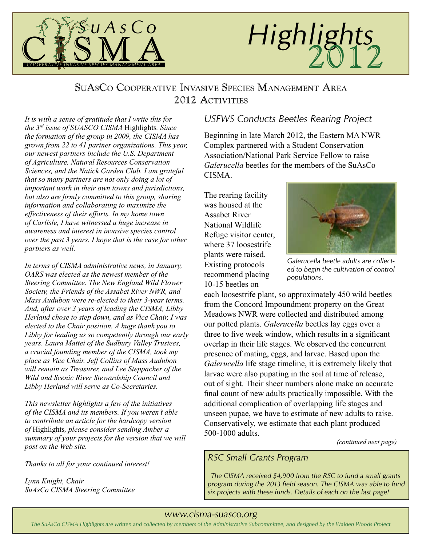

# Highlights

# SuAsCo Cooperative Invasive Species Management Area 2012 ACTIVITIES

*It is with a sense of gratitude that I write this for the 3rd issue of SUASCO CISMA* Highlights*. Since the formation of the group in 2009, the CISMA has grown from 22 to 41 partner organizations. This year, our newest partners include the U.S. Department of Agriculture, Natural Resources Conservation Sciences, and the Natick Garden Club. I am grateful that so many partners are not only doing a lot of important work in their own towns and jurisdictions, but also are firmly committed to this group, sharing information and collaborating to maximize the effectiveness of their efforts. In my home town of Carlisle, I have witnessed a huge increase in awareness and interest in invasive species control over the past 3 years. I hope that is the case for other partners as well.*

*In terms of CISMA administrative news, in January, OARS was elected as the newest member of the Steering Committee. The New England Wild Flower Society, the Friends of the Assabet River NWR, and Mass Audubon were re-elected to their 3-year terms. And, after over 3 years of leading the CISMA, Libby Herland chose to step down, and as Vice Chair, I was elected to the Chair position. A huge thank you to Libby for leading us so competently through our early years. Laura Mattei of the Sudbury Valley Trustees, a crucial founding member of the CISMA, took my place as Vice Chair. Jeff Collins of Mass Audubon will remain as Treasurer, and Lee Steppacher of the Wild and Scenic River Stewardship Council and Libby Herland will serve as Co-Secretaries.*

*This newsletter highlights a few of the initiatives of the CISMA and its members. If you weren't able to contribute an article for the hardcopy version of* Highlights*, please consider sending Amber a summary of your projects for the version that we will post on the Web site.*

*Thanks to all for your continued interest!*

*Lynn Knight, Chair SuAsCo CISMA Steering Committee*

# *USFWS Conducts Beetles Rearing Project*

Beginning in late March 2012, the Eastern MA NWR Complex partnered with a Student Conservation Association/National Park Service Fellow to raise *Galerucella* beetles for the members of the SuAsCo **CISMA** 

The rearing facility was housed at the Assabet River National Wildlife Refuge visitor center, where 37 loosestrife plants were raised. Existing protocols recommend placing 10-15 beetles on



*Galerucella beetle adults are collected to begin the cultivation of control populations.*

each loosestrife plant, so approximately 450 wild beetles from the Concord Impoundment property on the Great Meadows NWR were collected and distributed among our potted plants. *Galerucella* beetles lay eggs over a three to five week window, which results in a significant overlap in their life stages. We observed the concurrent presence of mating, eggs, and larvae. Based upon the *Galerucella* life stage timeline, it is extremely likely that larvae were also pupating in the soil at time of release, out of sight. Their sheer numbers alone make an accurate final count of new adults practically impossible. With the additional complication of overlapping life stages and unseen pupae, we have to estimate of new adults to raise. Conservatively, we estimate that each plant produced 500-1000 adults.

*(continued next page)*

#### *RSC Small Grants Program*

*The CISMA received \$4,900 from the RSC to fund a small grants program during the 2013 field season. The CISMA was able to fund six projects with these funds. Details of each on the last page!*

#### *www.cisma-suasco.org*

*The SuAsCo CISMA Highlights are written and collected by members of the Administrative Subcommittee, and designed by the Walden Woods Project*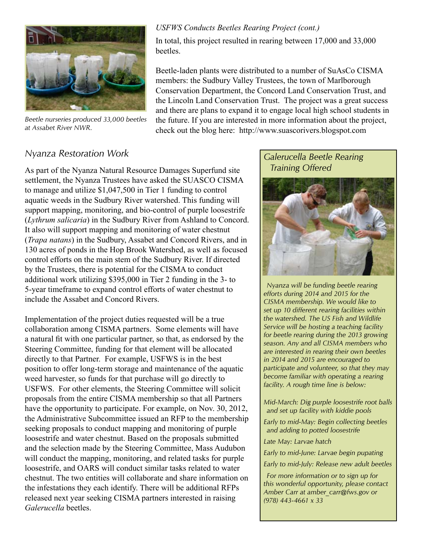

*Beetle nurseries produced 33,000 beetles at Assabet River NWR.*

#### *USFWS Conducts Beetles Rearing Project (cont.)*

In total, this project resulted in rearing between 17,000 and 33,000 beetles.

Beetle-laden plants were distributed to a number of SuAsCo CISMA members: the Sudbury Valley Trustees, the town of Marlborough Conservation Department, the Concord Land Conservation Trust, and the Lincoln Land Conservation Trust. The project was a great success and there are plans to expand it to engage local high school students in the future. If you are interested in more information about the project, check out the blog here: http://www.suascorivers.blogspot.com

#### *Nyanza Restoration Work*

As part of the Nyanza Natural Resource Damages Superfund site settlement, the Nyanza Trustees have asked the SUASCO CISMA to manage and utilize \$1,047,500 in Tier 1 funding to control aquatic weeds in the Sudbury River watershed. This funding will support mapping, monitoring, and bio-control of purple loosestrife (*Lythrum salicaria*) in the Sudbury River from Ashland to Concord. It also will support mapping and monitoring of water chestnut (*Trapa natans*) in the Sudbury, Assabet and Concord Rivers, and in 130 acres of ponds in the Hop Brook Watershed, as well as focused control efforts on the main stem of the Sudbury River. If directed by the Trustees, there is potential for the CISMA to conduct additional work utilizing \$395,000 in Tier 2 funding in the 3- to 5-year timeframe to expand control efforts of water chestnut to include the Assabet and Concord Rivers.

Implementation of the project duties requested will be a true collaboration among CISMA partners. Some elements will have a natural fit with one particular partner, so that, as endorsed by the Steering Committee, funding for that element will be allocated directly to that Partner. For example, USFWS is in the best position to offer long-term storage and maintenance of the aquatic weed harvester, so funds for that purchase will go directly to USFWS. For other elements, the Steering Committee will solicit proposals from the entire CISMA membership so that all Partners have the opportunity to participate. For example, on Nov. 30, 2012, the Administrative Subcommittee issued an RFP to the membership seeking proposals to conduct mapping and monitoring of purple loosestrife and water chestnut. Based on the proposals submitted and the selection made by the Steering Committee, Mass Audubon will conduct the mapping, monitoring, and related tasks for purple loosestrife, and OARS will conduct similar tasks related to water chestnut. The two entities will collaborate and share information on the infestations they each identify. There will be additional RFPs released next year seeking CISMA partners interested in raising *Galerucella* beetles.

#### *Galerucella Beetle Rearing Training Offered*



*Nyanza will be funding beetle rearing efforts during 2014 and 2015 for the CISMA membership. We would like to set up 10 different rearing facilities within the watershed. The US Fish and Wildlife Service will be hosting a teaching facility for beetle rearing during the 2013 growing season. Any and all CISMA members who are interested in rearing their own beetles in 2014 and 2015 are encouraged to participate and volunteer, so that they may become familiar with operating a rearing facility. A rough time line is below:*

*Mid-March: Dig purple loosestrife root balls and set up facility with kiddie pools*

*Early to mid-May: Begin collecting beetles and adding to potted loosestrife*

*Late May: Larvae hatch*

*Early to mid-June: Larvae begin pupating*

*Early to mid-July: Release new adult beetles*

*For more information or to sign up for this wonderful opportunity, please contact Amber Carr at amber\_carr@fws.gov or (978) 443-4661 x 33*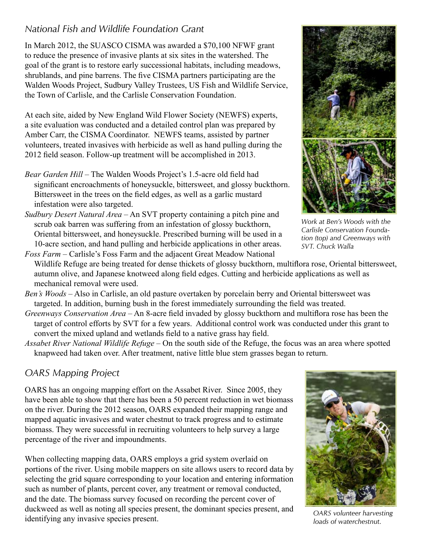# *National Fish and Wildlife Foundation Grant*

In March 2012, the SUASCO CISMA was awarded a \$70,100 NFWF grant to reduce the presence of invasive plants at six sites in the watershed. The goal of the grant is to restore early successional habitats, including meadows, shrublands, and pine barrens. The five CISMA partners participating are the Walden Woods Project, Sudbury Valley Trustees, US Fish and Wildlife Service, the Town of Carlisle, and the Carlisle Conservation Foundation.

At each site, aided by New England Wild Flower Society (NEWFS) experts, a site evaluation was conducted and a detailed control plan was prepared by Amber Carr, the CISMA Coordinator. NEWFS teams, assisted by partner volunteers, treated invasives with herbicide as well as hand pulling during the 2012 field season. Follow-up treatment will be accomplished in 2013.

- *Bear Garden Hill* The Walden Woods Project's 1.5-acre old field had significant encroachments of honeysuckle, bittersweet, and glossy buckthorn. Bittersweet in the trees on the field edges, as well as a garlic mustard infestation were also targeted.
- *Sudbury Desert Natural Area* An SVT property containing a pitch pine and scrub oak barren was suffering from an infestation of glossy buckthorn, Oriental bittersweet, and honeysuckle. Prescribed burning will be used in a 10-acre section, and hand pulling and herbicide applications in other areas. *Foss Farm* – Carlisle's Foss Farm and the adjacent Great Meadow National
- Wildlife Refuge are being treated for dense thickets of glossy buckthorn, multiflora rose, Oriental bittersweet, autumn olive, and Japanese knotweed along field edges. Cutting and herbicide applications as well as mechanical removal were used.
- *Ben's Woods* Also in Carlisle, an old pasture overtaken by porcelain berry and Oriental bittersweet was targeted. In addition, burning bush in the forest immediately surrounding the field was treated.
- *Greenways Conservation Area* An 8-acre field invaded by glossy buckthorn and multiflora rose has been the target of control efforts by SVT for a few years. Additional control work was conducted under this grant to convert the mixed upland and wetlands field to a native grass hay field.
- *Assabet River National Wildlife Refuge* On the south side of the Refuge, the focus was an area where spotted knapweed had taken over. After treatment, native little blue stem grasses began to return.

# *OARS Mapping Project*

OARS has an ongoing mapping effort on the Assabet River. Since 2005, they have been able to show that there has been a 50 percent reduction in wet biomass on the river. During the 2012 season, OARS expanded their mapping range and mapped aquatic invasives and water chestnut to track progress and to estimate biomass. They were successful in recruiting volunteers to help survey a large percentage of the river and impoundments.

When collecting mapping data, OARS employs a grid system overlaid on portions of the river. Using mobile mappers on site allows users to record data by selecting the grid square corresponding to your location and entering information such as number of plants, percent cover, any treatment or removal conducted, and the date. The biomass survey focused on recording the percent cover of duckweed as well as noting all species present, the dominant species present, and dick weed as wen as hoting an species present, the dominant species present, and *OARS volunteer harvesting* identifying any invasive species present.

*Work at Ben's Woods with the Carlisle Conservation Foundation (top) and Greenways with SVT. Chuck Walla*



*loads of waterchestnut.*